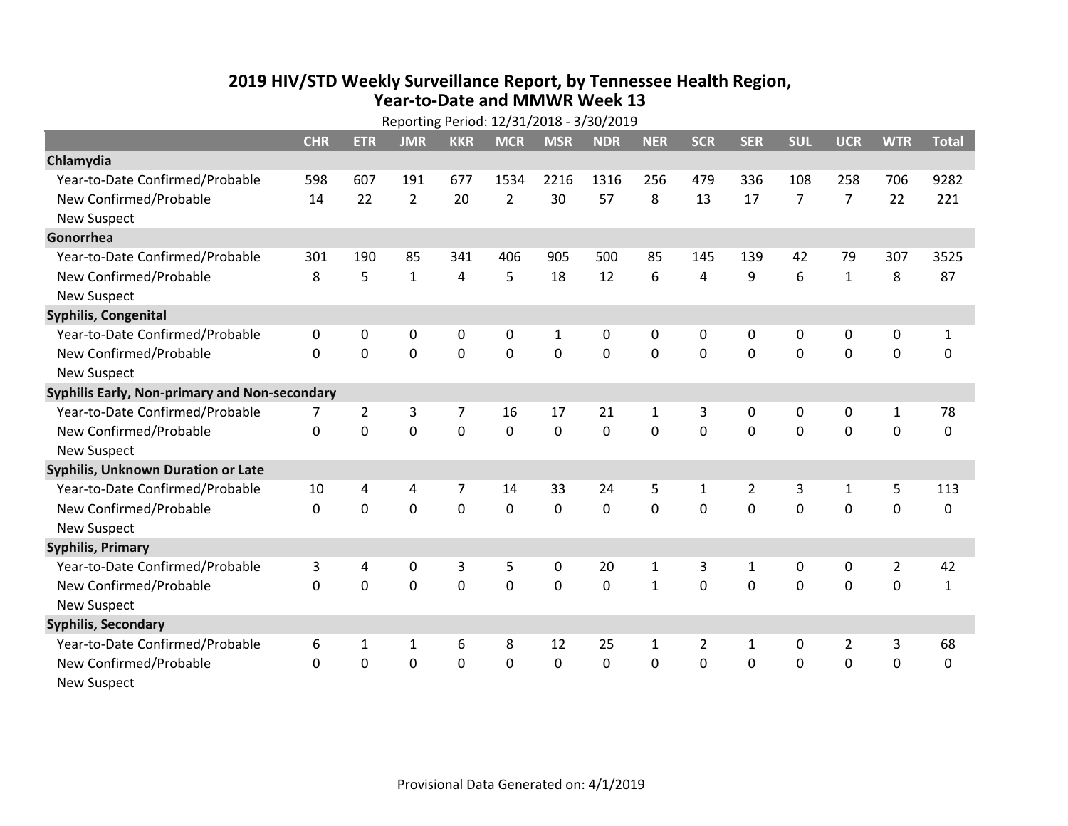## **2019 HIV /STD Weekly Surveillance Report, by Tennessee Health Region, Year‐to‐Date and MMWR Week 13** Reporting Period: 12/31/2018 ‐ 3/30/2019

| Reporting Period: 12/31/2018 - 3/30/2019      |              |                |                |                |                |              |            |              |              |                |                |                |                |              |
|-----------------------------------------------|--------------|----------------|----------------|----------------|----------------|--------------|------------|--------------|--------------|----------------|----------------|----------------|----------------|--------------|
|                                               | <b>CHR</b>   | <b>ETR</b>     | <b>JMR</b>     | <b>KKR</b>     | <b>MCR</b>     | <b>MSR</b>   | <b>NDR</b> | <b>NER</b>   | <b>SCR</b>   | <b>SER</b>     | <b>SUL</b>     | <b>UCR</b>     | <b>WTR</b>     | <b>Total</b> |
| Chlamydia                                     |              |                |                |                |                |              |            |              |              |                |                |                |                |              |
| Year-to-Date Confirmed/Probable               | 598          | 607            | 191            | 677            | 1534           | 2216         | 1316       | 256          | 479          | 336            | 108            | 258            | 706            | 9282         |
| New Confirmed/Probable                        | 14           | 22             | $\overline{2}$ | 20             | $\overline{2}$ | 30           | 57         | 8            | 13           | 17             | $\overline{7}$ | $\overline{7}$ | 22             | 221          |
| <b>New Suspect</b>                            |              |                |                |                |                |              |            |              |              |                |                |                |                |              |
| Gonorrhea                                     |              |                |                |                |                |              |            |              |              |                |                |                |                |              |
| Year-to-Date Confirmed/Probable               | 301          | 190            | 85             | 341            | 406            | 905          | 500        | 85           | 145          | 139            | 42             | 79             | 307            | 3525         |
| New Confirmed/Probable                        | 8            | 5              | $\mathbf{1}$   | 4              | 5              | 18           | 12         | 6            | 4            | 9              | 6              | $\mathbf{1}$   | 8              | 87           |
| <b>New Suspect</b>                            |              |                |                |                |                |              |            |              |              |                |                |                |                |              |
| <b>Syphilis, Congenital</b>                   |              |                |                |                |                |              |            |              |              |                |                |                |                |              |
| Year-to-Date Confirmed/Probable               | 0            | 0              | 0              | 0              | 0              | $\mathbf{1}$ | 0          | 0            | 0            | 0              | 0              | 0              | 0              | $\mathbf{1}$ |
| New Confirmed/Probable                        | $\mathbf{0}$ | $\mathbf 0$    | 0              | $\mathbf 0$    | $\mathbf 0$    | $\mathbf 0$  | 0          | $\mathbf 0$  | 0            | $\mathbf 0$    | $\mathbf 0$    | $\mathbf 0$    | $\mathbf 0$    | 0            |
| <b>New Suspect</b>                            |              |                |                |                |                |              |            |              |              |                |                |                |                |              |
| Syphilis Early, Non-primary and Non-secondary |              |                |                |                |                |              |            |              |              |                |                |                |                |              |
| Year-to-Date Confirmed/Probable               | 7            | $\overline{2}$ | 3              | $\overline{7}$ | 16             | 17           | 21         | $\mathbf{1}$ | 3            | $\Omega$       | $\mathbf{0}$   | 0              | $\mathbf{1}$   | 78           |
| New Confirmed/Probable                        | $\Omega$     | $\Omega$       | $\overline{0}$ | $\Omega$       | $\Omega$       | $\mathbf{0}$ | $\Omega$   | $\Omega$     | $\Omega$     | $\Omega$       | $\Omega$       | $\mathbf 0$    | $\mathbf 0$    | 0            |
| <b>New Suspect</b>                            |              |                |                |                |                |              |            |              |              |                |                |                |                |              |
| <b>Syphilis, Unknown Duration or Late</b>     |              |                |                |                |                |              |            |              |              |                |                |                |                |              |
| Year-to-Date Confirmed/Probable               | 10           | 4              | 4              | 7              | 14             | 33           | 24         | 5            | $\mathbf{1}$ | $\overline{2}$ | 3              | $\mathbf{1}$   | 5              | 113          |
| New Confirmed/Probable                        | $\Omega$     | $\Omega$       | $\Omega$       | $\Omega$       | $\Omega$       | $\mathbf{0}$ | $\Omega$   | $\Omega$     | $\Omega$     | $\Omega$       | $\Omega$       | $\Omega$       | $\mathbf 0$    | 0            |
| <b>New Suspect</b>                            |              |                |                |                |                |              |            |              |              |                |                |                |                |              |
| <b>Syphilis, Primary</b>                      |              |                |                |                |                |              |            |              |              |                |                |                |                |              |
| Year-to-Date Confirmed/Probable               | 3            | 4              | 0              | 3              | 5              | 0            | 20         | 1            | 3            | 1              | 0              | 0              | $\overline{2}$ | 42           |
| New Confirmed/Probable                        | 0            | 0              | 0              | $\mathbf 0$    | 0              | $\mathbf 0$  | 0          | $\mathbf{1}$ | $\Omega$     | $\Omega$       | 0              | $\mathbf 0$    | 0              | $\mathbf{1}$ |
| <b>New Suspect</b>                            |              |                |                |                |                |              |            |              |              |                |                |                |                |              |
| <b>Syphilis, Secondary</b>                    |              |                |                |                |                |              |            |              |              |                |                |                |                |              |
| Year-to-Date Confirmed/Probable               | 6            | 1              | 1              | 6              | 8              | 12           | 25         | $\mathbf{1}$ | 2            | 1              | 0              | $\overline{2}$ | 3              | 68           |
| New Confirmed/Probable                        | $\Omega$     | 0              | 0              | $\mathbf 0$    | 0              | $\mathbf 0$  | 0          | $\Omega$     | $\Omega$     | $\mathbf 0$    | $\mathbf 0$    | $\mathbf 0$    | $\mathbf 0$    | $\mathbf 0$  |
| <b>New Suspect</b>                            |              |                |                |                |                |              |            |              |              |                |                |                |                |              |